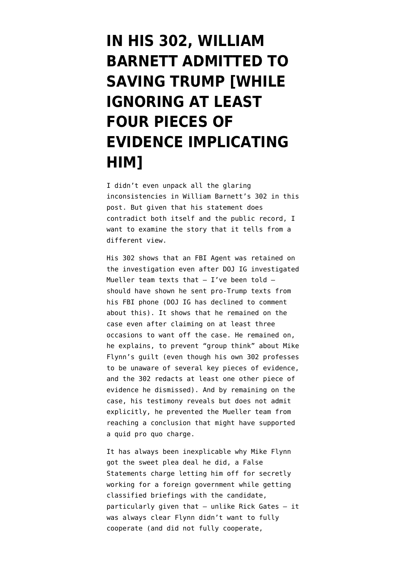# **[IN HIS 302, WILLIAM](https://www.emptywheel.net/2020/09/27/in-his-302-william-barnett-admitted-to-saving-trump-by-ignoring-at-least-four-pieces-of-evidence-implicating-him/) [BARNETT ADMITTED TO](https://www.emptywheel.net/2020/09/27/in-his-302-william-barnett-admitted-to-saving-trump-by-ignoring-at-least-four-pieces-of-evidence-implicating-him/) [SAVING TRUMP \[WHILE](https://www.emptywheel.net/2020/09/27/in-his-302-william-barnett-admitted-to-saving-trump-by-ignoring-at-least-four-pieces-of-evidence-implicating-him/) [IGNORING AT LEAST](https://www.emptywheel.net/2020/09/27/in-his-302-william-barnett-admitted-to-saving-trump-by-ignoring-at-least-four-pieces-of-evidence-implicating-him/) [FOUR PIECES OF](https://www.emptywheel.net/2020/09/27/in-his-302-william-barnett-admitted-to-saving-trump-by-ignoring-at-least-four-pieces-of-evidence-implicating-him/) [EVIDENCE IMPLICATING](https://www.emptywheel.net/2020/09/27/in-his-302-william-barnett-admitted-to-saving-trump-by-ignoring-at-least-four-pieces-of-evidence-implicating-him/) [HIM\]](https://www.emptywheel.net/2020/09/27/in-his-302-william-barnett-admitted-to-saving-trump-by-ignoring-at-least-four-pieces-of-evidence-implicating-him/)**

I didn't even unpack all the glaring inconsistencies in [William Barnett's 302](https://www.courtlistener.com/recap/gov.uscourts.dcd.191592/gov.uscourts.dcd.191592.249.1.pdf) in [this](https://www.emptywheel.net/2020/09/25/billy-barr-releases-302-that-proves-view-of-pro-mike-flynn-agent-held-sway-in-mueller-report-conclusions/) [post](https://www.emptywheel.net/2020/09/25/billy-barr-releases-302-that-proves-view-of-pro-mike-flynn-agent-held-sway-in-mueller-report-conclusions/). But given that [his statement does](https://www.emptywheel.net/2020/09/25/billy-barr-releases-302-that-proves-view-of-pro-mike-flynn-agent-held-sway-in-mueller-report-conclusions/) [contradict both itself and the public record](https://www.emptywheel.net/2020/09/25/billy-barr-releases-302-that-proves-view-of-pro-mike-flynn-agent-held-sway-in-mueller-report-conclusions/), I want to examine the story that it tells from a different view.

His 302 shows that an FBI Agent was retained on the investigation even after DOJ IG investigated Mueller team texts that  $-$  I've been told  $$ should have shown he sent pro-Trump texts from his FBI phone (DOJ IG has declined to comment about this). It shows that he remained on the case even after claiming on at least three occasions to want off the case. He remained on, he explains, to prevent "group think" about Mike Flynn's guilt (even though his own 302 professes to be unaware of several key pieces of evidence, and the 302 redacts at least one other piece of evidence he dismissed). And by remaining on the case, his testimony reveals but does not admit explicitly, he prevented the Mueller team from reaching a conclusion that might have supported a quid pro quo charge.

It has always been inexplicable why Mike Flynn got the sweet plea deal he did, a False Statements charge letting him off for secretly working for a foreign government while getting classified briefings with the candidate, particularly given that — unlike Rick Gates — it was always clear Flynn didn't want to fully cooperate (and did not fully cooperate,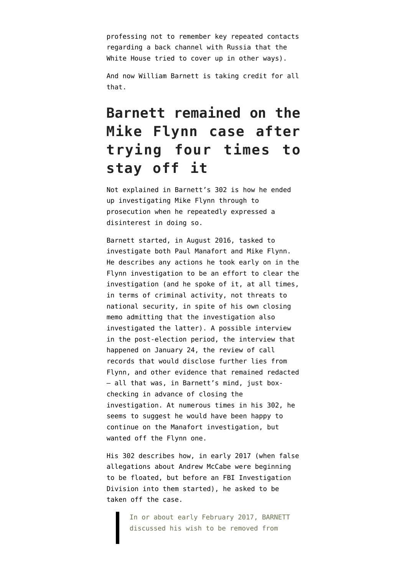[professing not to remember](https://www.emptywheel.net/2019/05/17/mike-flynns-cooperation-did-not-extend-to-remembering-foresemans-back-door-discussions/) key repeated contacts regarding a back channel with Russia that the [White House tried to cover up in other ways](https://www.emptywheel.net/2020/08/18/trump-tried-to-claim-privilege-over-a-document-flynn-claimed-to-not-remember/)).

And now William Barnett is taking credit for all that.

### **Barnett remained on the Mike Flynn case after trying four times to stay off it**

Not explained in Barnett's 302 is how he ended up investigating Mike Flynn through to prosecution when he repeatedly expressed a disinterest in doing so.

Barnett started, in August 2016, tasked to investigate both Paul Manafort and Mike Flynn. He describes any actions he took early on in the Flynn investigation to be an effort to clear the investigation (and he spoke of it, at all times, in terms of criminal activity, not threats to national security, in spite of his own closing memo admitting that the investigation also investigated the latter). A possible interview in the post-election period, the interview that happened on January 24, the review of call records that would disclose further lies from Flynn, and other evidence that remained redacted — all that was, in Barnett's mind, just boxchecking in advance of closing the investigation. At numerous times in his 302, he seems to suggest he would have been happy to continue on the Manafort investigation, but wanted off the Flynn one.

His 302 describes how, in early 2017 (when false allegations about Andrew McCabe were beginning to be floated, but before an FBI Investigation Division into them started), he asked to be taken off the case.

> In or about early February 2017, BARNETT discussed his wish to be removed from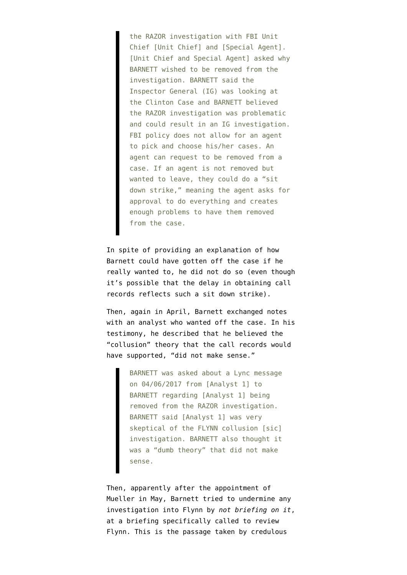the RAZOR investigation with FBI Unit Chief [Unit Chief] and [Special Agent]. [Unit Chief and Special Agent] asked why BARNETT wished to be removed from the investigation. BARNETT said the Inspector General (IG) was looking at the Clinton Case and BARNETT believed the RAZOR investigation was problematic and could result in an IG investigation. FBI policy does not allow for an agent to pick and choose his/her cases. An agent can request to be removed from a case. If an agent is not removed but wanted to leave, they could do a "sit down strike," meaning the agent asks for approval to do everything and creates enough problems to have them removed from the case.

In spite of providing an explanation of how Barnett could have gotten off the case if he really wanted to, he did not do so (even though it's possible that the delay in obtaining call records reflects such a sit down strike).

Then, again in April, Barnett exchanged notes with an analyst who wanted off the case. In his testimony, he described that he believed the "collusion" theory that the call records would have supported, "did not make sense."

> BARNETT was asked about a Lync message on 04/06/2017 from [Analyst 1] to BARNETT regarding [Analyst 1] being removed from the RAZOR investigation. BARNETT said [Analyst 1] was very skeptical of the FLYNN collusion [sic] investigation. BARNETT also thought it was a "dumb theory" that did not make sense.

Then, apparently after the appointment of Mueller in May, Barnett tried to undermine any investigation into Flynn by *not briefing on it*, at a briefing specifically called to review Flynn. This is the passage taken by credulous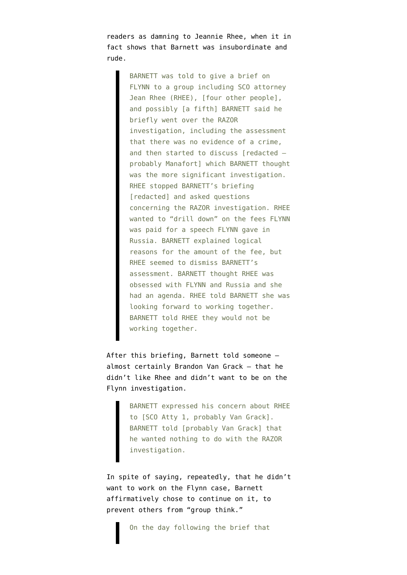readers as damning to Jeannie Rhee, when it in fact shows that Barnett was insubordinate and rude.

> BARNETT was told to give a brief on FLYNN to a group including SCO attorney Jean Rhee (RHEE), [four other people], and possibly [a fifth] BARNETT said he briefly went over the RAZOR investigation, including the assessment that there was no evidence of a crime, and then started to discuss [redacted probably Manafort] which BARNETT thought was the more significant investigation. RHEE stopped BARNETT's briefing [redacted] and asked questions concerning the RAZOR investigation. RHEE wanted to "drill down" on the fees FLYNN was paid for a speech FLYNN gave in Russia. BARNETT explained logical reasons for the amount of the fee, but RHEE seemed to dismiss BARNETT's assessment. BARNETT thought RHEE was obsessed with FLYNN and Russia and she had an agenda. RHEE told BARNETT she was looking forward to working together. BARNETT told RHEE they would not be working together.

After this briefing, Barnett told someone almost certainly Brandon Van Grack — that he didn't like Rhee and didn't want to be on the Flynn investigation.

> BARNETT expressed his concern about RHEE to [SCO Atty 1, probably Van Grack]. BARNETT told [probably Van Grack] that he wanted nothing to do with the RAZOR investigation.

In spite of saying, repeatedly, that he didn't want to work on the Flynn case, Barnett affirmatively chose to continue on it, to prevent others from "group think."

On the day following the brief that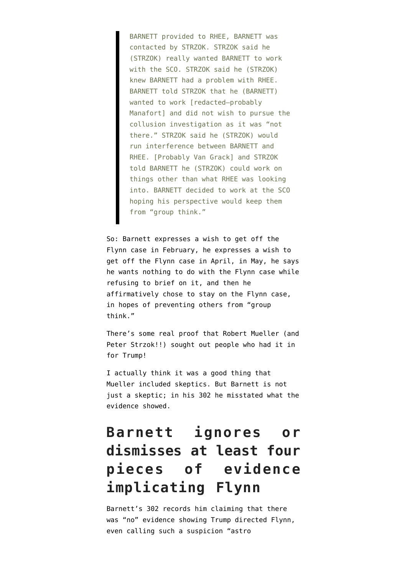BARNETT provided to RHEE, BARNETT was contacted by STRZOK. STRZOK said he (STRZOK) really wanted BARNETT to work with the SCO. STRZOK said he (STRZOK) knew BARNETT had a problem with RHEE. BARNETT told STRZOK that he (BARNETT) wanted to work [redacted-probably Manafort] and did not wish to pursue the collusion investigation as it was "not there." STRZOK said he (STRZOK) would run interference between BARNETT and RHEE. [Probably Van Grack] and STRZOK told BARNETT he (STRZOK) could work on things other than what RHEE was looking into. BARNETT decided to work at the SCO hoping his perspective would keep them from "group think."

So: Barnett expresses a wish to get off the Flynn case in February, he expresses a wish to get off the Flynn case in April, in May, he says he wants nothing to do with the Flynn case while refusing to brief on it, and then he affirmatively chose to stay on the Flynn case, in hopes of preventing others from "group think."

There's some real proof that Robert Mueller (and Peter Strzok!!) sought out people who had it in for Trump!

I actually think it was a good thing that Mueller included skeptics. But Barnett is not just a skeptic; in his 302 he misstated what the evidence showed.

### **Barnett ignores or dismisses at least four pieces of evidence implicating Flynn**

Barnett's 302 records him claiming that there was "no" evidence showing Trump directed Flynn, even calling such a suspicion "astro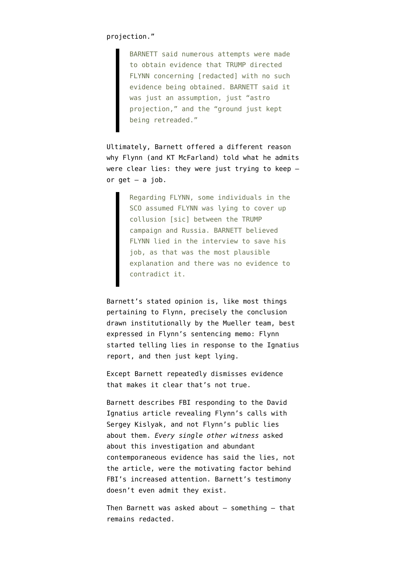#### projection."

BARNETT said numerous attempts were made to obtain evidence that TRUMP directed FLYNN concerning [redacted] with no such evidence being obtained. BARNETT said it was just an assumption, just "astro projection," and the "ground just kept being retreaded."

Ultimately, Barnett offered a different reason why Flynn (and KT McFarland) told what he admits were clear lies: they were just trying to keep  $$ or  $get - a$  job.

> Regarding FLYNN, some individuals in the SCO assumed FLYNN was lying to cover up collusion [sic] between the TRUMP campaign and Russia. BARNETT believed FLYNN lied in the interview to save his job, as that was the most plausible explanation and there was no evidence to contradict it.

Barnett's stated opinion is, like most things pertaining to Flynn, precisely the conclusion drawn institutionally by the Mueller team, best expressed in Flynn's sentencing memo: Flynn started telling lies in response to the Ignatius report, and then just kept lying.

Except Barnett repeatedly dismisses evidence that makes it clear that's not true.

Barnett describes FBI responding to the David Ignatius article revealing Flynn's calls with Sergey Kislyak, and not Flynn's public lies about them. *Every single other witness* asked about this investigation and abundant contemporaneous evidence has said the lies, not the article, were the motivating factor behind FBI's increased attention. Barnett's testimony doesn't even admit they exist.

Then Barnett was asked about  $-$  something  $-$  that remains redacted.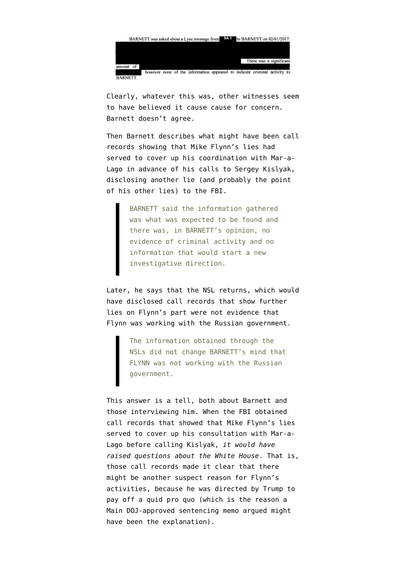

Clearly, whatever this was, other witnesses seem to have believed it cause cause for concern. Barnett doesn't agree.

Then Barnett describes what might have been call records showing that Mike Flynn's lies had served to cover up his coordination with Mar-a-Lago in advance of his calls to Sergey Kislyak, disclosing another lie (and probably the point of his other lies) to the FBI.

> BARNETT said the information gathered was what was expected to be found and there was, in BARNETT's opinion, no evidence of criminal activity and no information that would start a new investigative direction.

Later, he says that the NSL returns, which would have disclosed call records that show further lies on Flynn's part were not evidence that Flynn was working with the Russian government.

> The information obtained through the NSLs did not change BARNETT's mind that FLYNN was not working with the Russian government.

This answer is a tell, both about Barnett and those interviewing him. When the FBI obtained call records that showed that [Mike Flynn's lies](https://www.emptywheel.net/2020/05/20/flynn-was-hiding-that-he-coordinated-his-kislyak-call-with-mar-a-lago/) [served to cover up his consultation with Mar-a-](https://www.emptywheel.net/2020/05/20/flynn-was-hiding-that-he-coordinated-his-kislyak-call-with-mar-a-lago/)[Lago](https://www.emptywheel.net/2020/05/20/flynn-was-hiding-that-he-coordinated-his-kislyak-call-with-mar-a-lago/) before calling Kislyak, *it would have raised questions about the White House*. That is, those call records made it clear that there might be another suspect reason for Flynn's activities, because he was directed by Trump to pay off a quid pro quo (which is the reason a Main DOJ-approved sentencing memo argued might have been the explanation).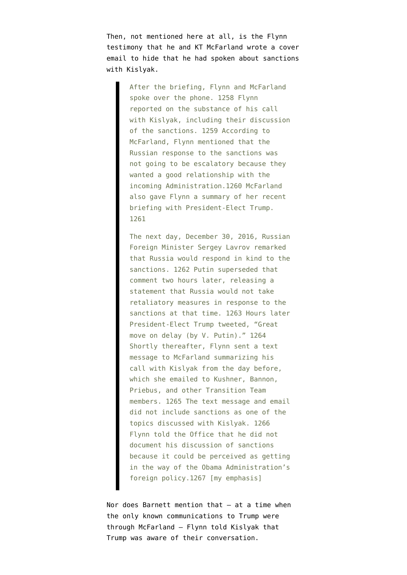Then, not mentioned here at all, is the Flynn [testimony](https://www.documentcloud.org/documents/6002293-190322-Redacted-Mueller-Report.html) that he and KT McFarland wrote a cover email to hide that he had spoken about sanctions with Kislyak.

> After the briefing, Flynn and McFarland spoke over the phone. 1258 Flynn reported on the substance of his call with Kislyak, including their discussion of the sanctions. 1259 According to McFarland, Flynn mentioned that the Russian response to the sanctions was not going to be escalatory because they wanted a good relationship with the incoming Administration.1260 McFarland also gave Flynn a summary of her recent briefing with President-Elect Trump. 1261

> The next day, December 30, 2016, Russian Foreign Minister Sergey Lavrov remarked that Russia would respond in kind to the sanctions. 1262 Putin superseded that comment two hours later, releasing a statement that Russia would not take retaliatory measures in response to the sanctions at that time. 1263 Hours later President-Elect Trump tweeted, "Great move on delay (by V. Putin)." 1264 Shortly thereafter, Flynn sent a text message to McFarland summarizing his call with Kislyak from the day before, which she emailed to Kushner, Bannon, Priebus, and other Transition Team members. 1265 The text message and email did not include sanctions as one of the topics discussed with Kislyak. 1266 Flynn told the Office that he did not document his discussion of sanctions because it could be perceived as getting in the way of the Obama Administration's foreign policy.1267 [my emphasis]

Nor does Barnett mention that — at a time when the only known communications to Trump were through McFarland — [Flynn told Kislyak](https://www.grassley.senate.gov/sites/default/files/2020-05-29%20ODNI%20to%20CEG%20RHJ%20%28Flynn%20Transcripts%29.pdf) that Trump was aware of their conversation.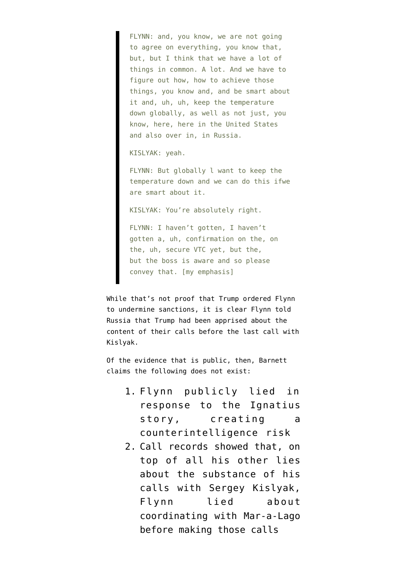FLYNN: and, you know, we are not going to agree on everything, you know that, but, but I think that we have a lot of things in common. A lot. And we have to figure out how, how to achieve those things, you know and, and be smart about it and, uh, uh, keep the temperature down globally, as well as not just, you know, here, here in the United States and also over in, in Russia.

KISLYAK: yeah.

FLYNN: But globally l want to keep the temperature down and we can do this ifwe are smart about it.

KISLYAK: You're absolutely right.

FLYNN: I haven't gotten, I haven't gotten a, uh, confirmation on the, on the, uh, secure VTC yet, but the, but the boss is aware and so please convey that. [my emphasis]

While that's not proof that Trump ordered Flynn to undermine sanctions, it is clear Flynn told Russia that Trump had been apprised about the content of their calls before the last call with Kislyak.

Of the evidence that is public, then, Barnett claims the following does not exist:

- 1. Flynn publicly lied in response to the Ignatius story, creating a counterintelligence risk
- 2. Call records showed that, on top of all his other lies about the substance of his calls with Sergey Kislyak, Flynn lied about coordinating with Mar-a-Lago before making those calls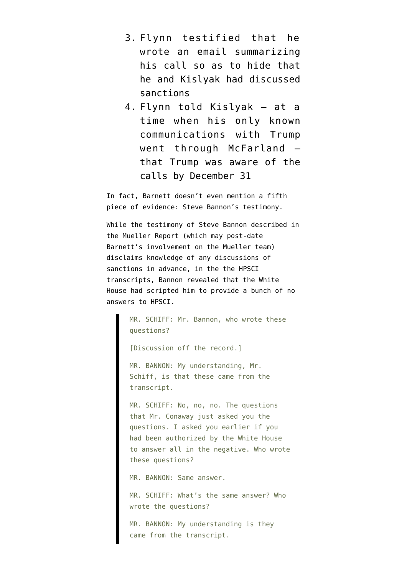- 3. Flynn testified that he wrote an email summarizing his call so as to hide that he and Kislyak had discussed sanctions
- 4. Flynn told Kislyak at a time when his only known communications with Trump went through McFarland that Trump was aware of the calls by December 31

In fact, Barnett doesn't even mention a fifth piece of evidence: Steve Bannon's testimony.

While the testimony of Steve Bannon described in the Mueller Report (which may post-date Barnett's involvement on the Mueller team) disclaims knowledge of any discussions of sanctions in advance, [in the the HPSCI](https://www.emptywheel.net/2020/05/16/steven-bannons-bas-relief-confession-that-trump-told-him-to-deny-discussing-sanctions/) [transcripts](https://www.emptywheel.net/2020/05/16/steven-bannons-bas-relief-confession-that-trump-told-him-to-deny-discussing-sanctions/), Bannon revealed that the White House had scripted him to provide a bunch of no answers to HPSCI.

> MR. SCHIFF: Mr. Bannon, who wrote these questions?

[Discussion off the record.]

MR. BANNON: My understanding, Mr. Schiff, is that these came from the transcript.

MR. SCHIFF: No, no, no. The questions that Mr. Conaway just asked you the questions. I asked you earlier if you had been authorized by the White House to answer all in the negative. Who wrote these questions?

MR. BANNON: Same answer.

MR. SCHIFF: What's the same answer? Who wrote the questions?

MR. BANNON: My understanding is they came from the transcript.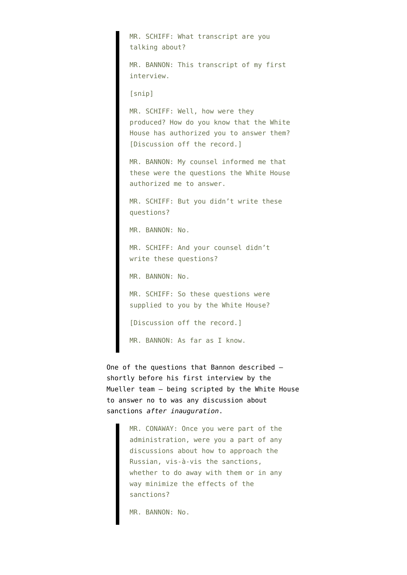MR. SCHIFF: What transcript are you talking about? MR. BANNON: This transcript of my first interview. [snip] MR. SCHIFF: Well, how were they produced? How do you know that the White House has authorized you to answer them? [Discussion off the record.] MR. BANNON: My counsel informed me that these were the questions the White House authorized me to answer. MR. SCHIFF: But you didn't write these questions? MR. BANNON: No. MR. SCHIFF: And your counsel didn't write these questions? MR. BANNON: No. MR. SCHIFF: So these questions were supplied to you by the White House? [Discussion off the record.] MR. BANNON: As far as I know.

One of the questions that Bannon described shortly before his first interview by the Mueller team — being scripted by the White House to answer no to was any discussion about sanctions *after inauguration*.

> MR. CONAWAY: Once you were part of the administration, were you a part of any discussions about how to approach the Russian, vis-à-vis the sanctions, whether to do away with them or in any way minimize the effects of the sanctions?

MR. BANNON: No.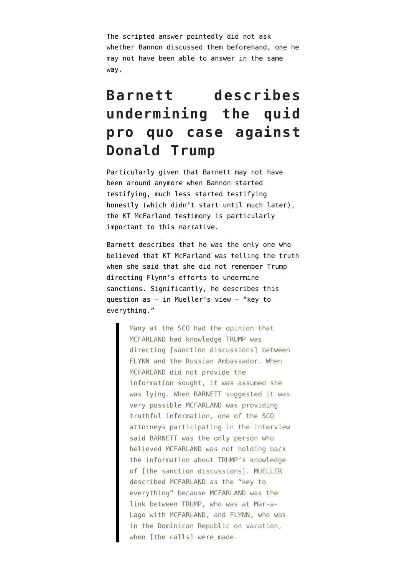The scripted answer pointedly did not ask whether Bannon discussed them beforehand, one he may not have been able to answer in the same way.

### **Barnett describes undermining the quid pro quo case against Donald Trump**

Particularly given that Barnett may not have been around anymore when Bannon started testifying, much less started testifying honestly (which didn't start until much later), the KT McFarland testimony is particularly important to this narrative.

Barnett describes that he was the only one who believed that KT McFarland was telling the truth when she said that she did not remember Trump directing Flynn's efforts to undermine sanctions. Significantly, he describes this question as — in Mueller's view — "key to everything."

> Many at the SCO had the opinion that MCFARLAND had knowledge TRUMP was directing [sanction discussions] between FLYNN and the Russian Ambassador. When MCFARLAND did not provide the information sought, it was assumed she was lying. When BARNETT suggested it was very possible MCFARLAND was providing truthful information, one of the SCO attorneys participating in the interview said BARNETT was the only person who believed MCFARLAND was not holding back the information about TRUMP's knowledge of [the sanction discussions]. MUELLER described MCFARLAND as the "key to everything" because MCFARLAND was the link between TRUMP, who was at Mar-a-Lago with MCFARLAND, and FLYNN, who was in the Dominican Republic on vacation, when [the calls] were made.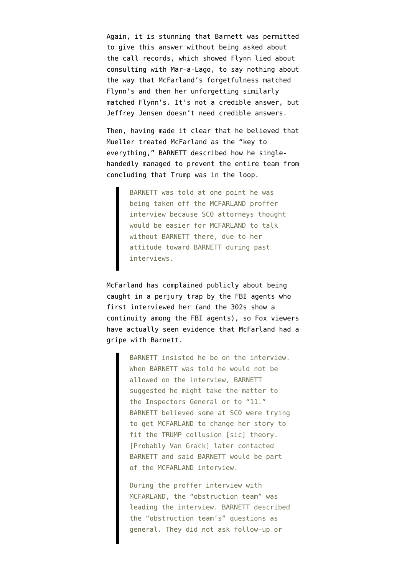Again, it is stunning that Barnett was permitted to give this answer without being asked about the call records, which showed Flynn lied about consulting with Mar-a-Lago, to say nothing about the way that McFarland's forgetfulness matched Flynn's and then her unforgetting similarly matched Flynn's. It's not a credible answer, but Jeffrey Jensen doesn't need credible answers.

Then, having made it clear that he believed that Mueller treated McFarland as the "key to everything," BARNETT described how he singlehandedly managed to prevent the entire team from concluding that Trump was in the loop.

> BARNETT was told at one point he was being taken off the MCFARLAND proffer interview because SCO attorneys thought would be easier for MCFARLAND to talk without BARNETT there, due to her attitude toward BARNETT during past interviews.

McFarland has complained publicly about being caught in a perjury trap by the FBI agents who first interviewed her (and the 302s show a continuity among the FBI agents), so Fox viewers have actually seen evidence that McFarland had a gripe with Barnett.

> BARNETT insisted he be on the interview. When BARNETT was told he would not be allowed on the interview, BARNETT suggested he might take the matter to the Inspectors General or to "11." BARNETT believed some at SCO were trying to get MCFARLAND to change her story to fit the TRUMP collusion [sic] theory. [Probably Van Grack] later contacted BARNETT and said BARNETT would be part of the MCFARLAND interview.

> During the proffer interview with MCFARLAND, the "obstruction team" was leading the interview. BARNETT described the "obstruction team's" questions as general. They did not ask follow-up or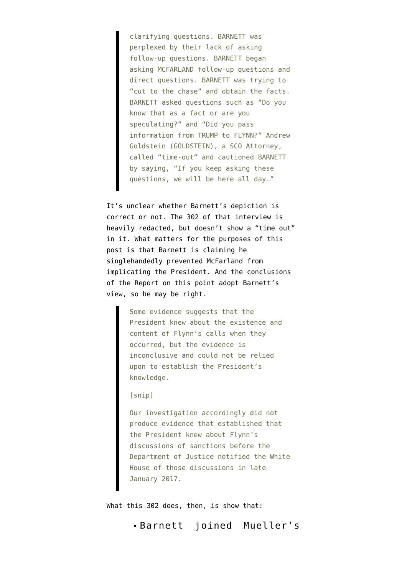clarifying questions. BARNETT was perplexed by their lack of asking follow-up questions. BARNETT began asking MCFARLAND follow-up questions and direct questions. BARNETT was trying to "cut to the chase" and obtain the facts. BARNETT asked questions such as "Do you know that as a fact or are you speculating?" and "Did you pass information from TRUMP to FLYNN?" Andrew Goldstein (GOLDSTEIN), a SCO Attorney, called "time-out" and cautioned BARNETT by saying, "If you keep asking these questions, we will be here all day."

It's unclear whether Barnett's depiction is correct or not. The [302 of that interview is](https://www.documentcloud.org/documents/6596807-3rd-Mueller-Document-FOIA-Release.html#document/p86/a542412) [heavily redacted,](https://www.documentcloud.org/documents/6596807-3rd-Mueller-Document-FOIA-Release.html#document/p86/a542412) but doesn't show a "time out" in it. What matters for the purposes of this post is that Barnett is claiming he singlehandedly prevented McFarland from implicating the President. And the [conclusions](https://assets.documentcloud.org/documents/6002293/190322-Redacted-Mueller-Report.pdf) [of the Report](https://assets.documentcloud.org/documents/6002293/190322-Redacted-Mueller-Report.pdf) on this point adopt Barnett's view, so he may be right.

> Some evidence suggests that the President knew about the existence and content of Flynn's calls when they occurred, but the evidence is inconclusive and could not be relied upon to establish the President's knowledge.

#### [snip]

Our investigation accordingly did not produce evidence that established that the President knew about Flynn's discussions of sanctions before the Department of Justice notified the White House of those discussions in late January 2017.

What this 302 does, then, is show that:

Barnett joined Mueller's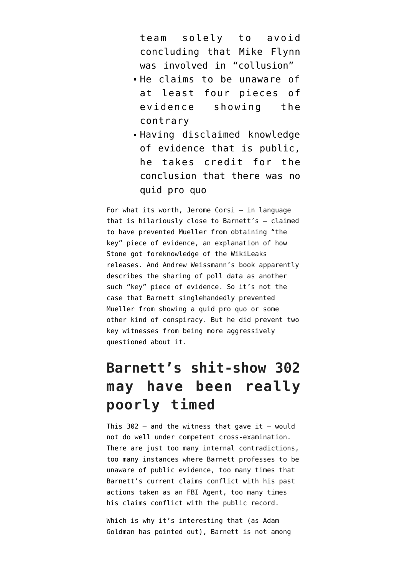team solely to avoid concluding that Mike Flynn was involved in "collusion"

- He claims to be unaware of at least four pieces of evidence showing the contrary
- Having disclaimed knowledge of evidence that is public, he takes credit for the conclusion that there was no quid pro quo

For what its worth, Jerome Corsi — in language that is hilariously close to Barnett's — claimed to have prevented Mueller from obtaining "the key" piece of evidence, an explanation of how Stone got foreknowledge of the WikiLeaks releases. And Andrew Weissmann's book apparently describes the sharing of poll data as another such "key" piece of evidence. So it's not the case that Barnett singlehandedly prevented Mueller from showing a quid pro quo or some other kind of conspiracy. But he did prevent two key witnesses from being more aggressively questioned about it.

## **Barnett's shit-show 302 may have been really poorly timed**

This  $302 -$  and the witness that gave it  $-$  would not do well under competent cross-examination. There are just too many internal contradictions, too many instances where Barnett professes to be unaware of public evidence, too many times that Barnett's current claims conflict with his past actions taken as an FBI Agent, too many times his claims conflict with the public record.

Which is why it's interesting that (as [Adam](https://twitter.com/adamgoldmanNYT/status/1268595932167364609) [Goldman has pointed out\)](https://twitter.com/adamgoldmanNYT/status/1268595932167364609), Barnett is not among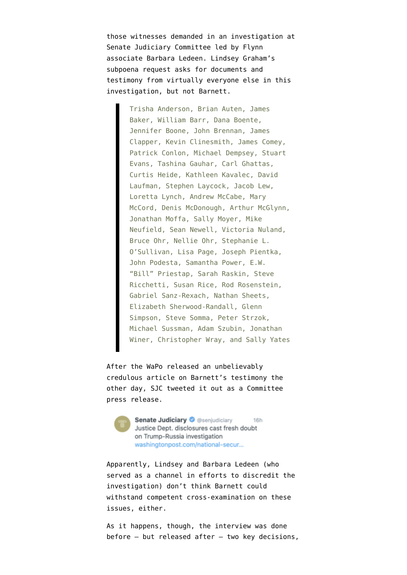those witnesses [demanded](https://www.judiciary.senate.gov/imo/media/doc/Crossfire%20Hurricane%20Subpoena%20Authorization.pdf) in an investigation at Senate Judiciary Committee led by Flynn associate Barbara Ledeen. Lindsey Graham's subpoena request [asks for documents and](https://www.judiciary.senate.gov/imo/media/doc/Crossfire%20Hurricane%20Subpoena%20Authorization.pdf) [testimony](https://www.judiciary.senate.gov/imo/media/doc/Crossfire%20Hurricane%20Subpoena%20Authorization.pdf) from virtually everyone else in this investigation, but not Barnett.

> Trisha Anderson, Brian Auten, James Baker, William Barr, Dana Boente, Jennifer Boone, John Brennan, James Clapper, Kevin Clinesmith, James Comey, Patrick Conlon, Michael Dempsey, Stuart Evans, Tashina Gauhar, Carl Ghattas, Curtis Heide, Kathleen Kavalec, David Laufman, Stephen Laycock, Jacob Lew, Loretta Lynch, Andrew McCabe, Mary McCord, Denis McDonough, Arthur McGlynn, Jonathan Moffa, Sally Moyer, Mike Neufield, Sean Newell, Victoria Nuland, Bruce Ohr, Nellie Ohr, Stephanie L. O'Sullivan, Lisa Page, Joseph Pientka, John Podesta, Samantha Power, E.W. "Bill" Priestap, Sarah Raskin, Steve Ricchetti, Susan Rice, Rod Rosenstein, Gabriel Sanz-Rexach, Nathan Sheets, Elizabeth Sherwood-Randall, Glenn Simpson, Steve Somma, Peter Strzok, Michael Sussman, Adam Szubin, Jonathan Winer, Christopher Wray, and Sally Yates

After the [WaPo released](https://www.washingtonpost.com/national-security/new-justice-dept-disclosures-cast-fresh-doubt-on-trump-russia-investigation/2020/09/25/f08ccfb0-ff61-11ea-9ceb-061d646d9c67_story.html) an unbelievably credulous article on Barnett's testimony the other day, SJC [tweeted it out as a Committee](https://twitter.com/senjudiciary/status/1309902294696296450) [press release](https://twitter.com/senjudiciary/status/1309902294696296450).

> **Senate Judiciary O** @senjudiciary **16h** Justice Dept. disclosures cast fresh doubt on Trump-Russia investigation washingtonpost.com/national-secur...

Apparently, Lindsey and Barbara Ledeen (who [served as a channel in efforts to discredit the](https://www.emptywheel.net/2020/05/11/mike-flynn-collaborator-barbara-ledeens-past-role-in-producing-new-evidence/) [investigation](https://www.emptywheel.net/2020/05/11/mike-flynn-collaborator-barbara-ledeens-past-role-in-producing-new-evidence/)) don't think Barnett could withstand competent cross-examination on these issues, either.

As it happens, though, the interview was done before — but released after — two key decisions,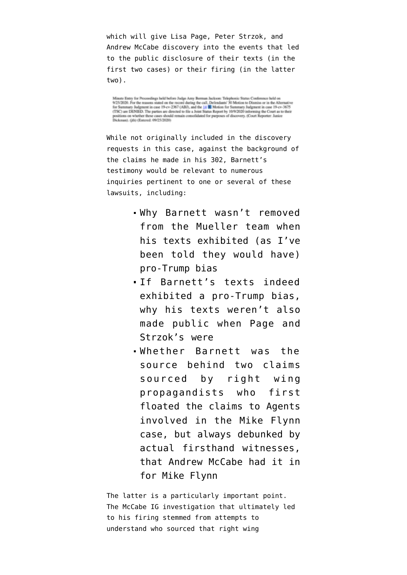which will give Lisa Page, Peter Strzok, and [Andrew McCabe](https://www.courtlistener.com/recap/gov.uscourts.dcd.210051/gov.uscourts.dcd.210051.37.0_5.pdf) discovery into the events that led to the public disclosure of their texts (in the first two cases) or their firing (in the latter two).

Minute Entry for Proceedings held before Judge Amy Berman Jackson: Teleph nic Status Conference held on Station Control of the reasons stated on the record during the call. Defendants' 30 Motion to Dismiss or in the Alternative<br>Stationary Judgment in case 19-cv-2367 (ABJ), and the 14 M Motion for Summary Judgment in case 19ons on whether these cases should remain consolidated for purposes of discovery. (Court Reporter: Junice Dickman). (ith) (Entered: 09/25/2020)

While not originally included in the discovery requests in this case, against the background of the claims he made in his 302, Barnett's testimony would be relevant to numerous inquiries pertinent to one or several of these lawsuits, including:

- Why Barnett wasn't removed from the Mueller team when his texts exhibited (as I've been told they would have) pro-Trump bias
- If Barnett's texts indeed exhibited a pro-Trump bias, why his texts weren't also made public when Page and Strzok's were
- Whether Barnett was the source behind [two claims](https://medium.com/@the_war_economy/spygate-part-15-the-f-b-i-vs-donald-trump-23221196ad6f) sourced by right wing propagandists who first floated the claims to Agents involved in the Mike Flynn case, but [always debunked by](https://www.courtlistener.com/recap/gov.uscourts.dcd.191592/gov.uscourts.dcd.191592.122.0_3.pdf) [actual firsthand witnesses](https://www.courtlistener.com/recap/gov.uscourts.dcd.191592/gov.uscourts.dcd.191592.122.0_3.pdf), that Andrew McCabe had it in for Mike Flynn

The latter is a particularly important point. The [McCabe IG investigation](https://web.archive.org/web/20200907121604/https://oig.justice.gov/reports/2018/o20180413.pdf) that ultimately led to his firing stemmed from attempts to understand who sourced that right wing